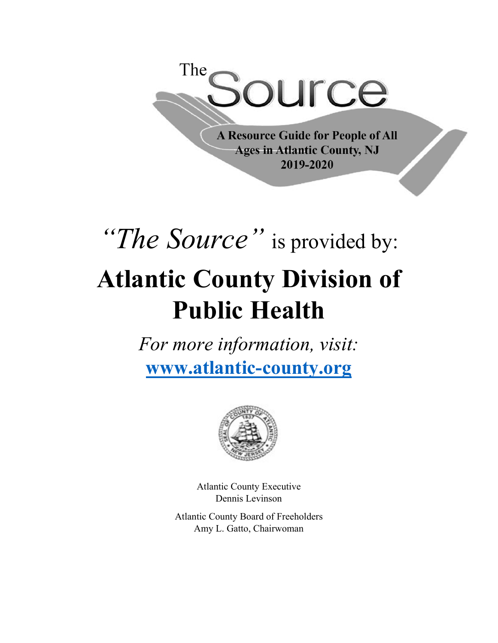

**A Resource Guide for People of All Ages in Atlantic County, NJ** 2019-2020

# *"The Source"* is provided by: **Atlantic County Division of Public Health**

*For more information, visit:* **www.atlantic-county.org**



Atlantic County Executive Dennis Levinson

Atlantic County Board of Freeholders Amy L. Gatto, Chairwoman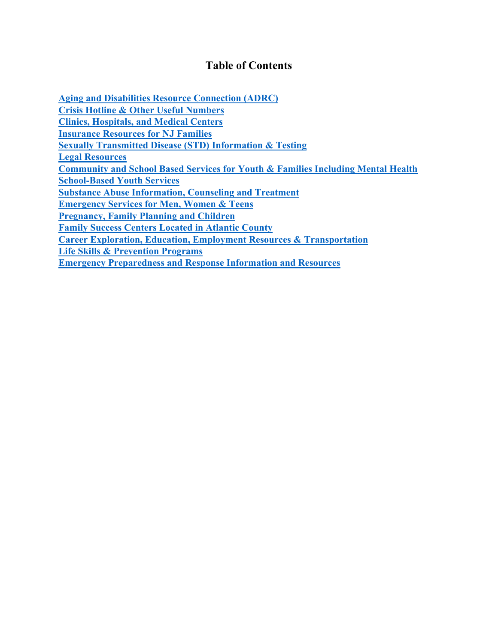#### **Table of Contents**

<span id="page-1-0"></span>**[Aging and Disabilities Resource Connection \(ADRC\)](#page-1-0) [Crisis Hotline & Other Useful Numbers](#page-4-0) [Clinics, Hospitals, and Medical Centers](#page-5-0) [Insurance Resources for NJ Families](#page-6-0) [Sexually Transmitted Disease \(STD\) Information & Testing](#page-6-1) [Legal Resources](#page-7-0) [Community and School Based Services for Youth & Families Including Mental Health](#page-8-0) [School-Based Youth Services](#page-9-0) [Substance Abuse Information, Counseling and Treatment](#page-10-0) [Emergency Services for Men, Women & Teens](#page-13-0) [Pregnancy, Family Planning and Children](#page-14-0) [Family Success Centers Located in Atlantic County](#page-15-0) [Career Exploration, Education, Employment Resources & Transportation](#page-16-0) [Life Skills & Prevention Programs](#page-18-0) [Emergency Preparedness and Response Information and Resources](#page-19-0)**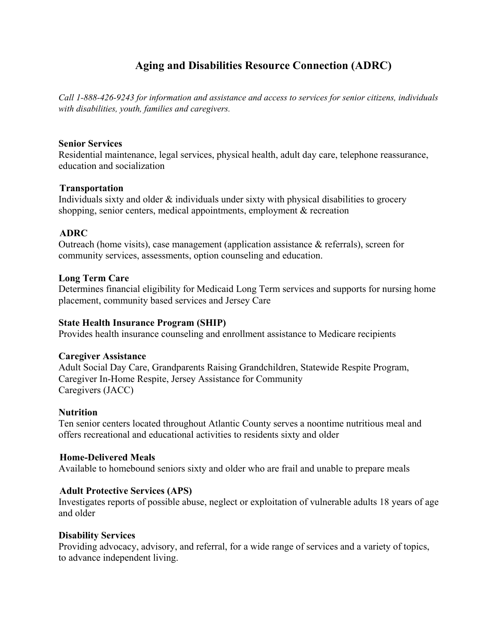## **Aging and Disabilities Resource Connection (ADRC)**

*Call 1-888-426-9243 for information and assistance and access to services for senior citizens, individuals with disabilities, youth, families and caregivers.*

#### **Senior Services**

Residential maintenance, legal services, physical health, adult day care, telephone reassurance, education and socialization

#### **Transportation**

Individuals sixty and older & individuals under sixty with physical disabilities to grocery shopping, senior centers, medical appointments, employment & recreation

#### **ADRC**

Outreach (home visits), case management (application assistance  $\&$  referrals), screen for community services, assessments, option counseling and education.

#### **Long Term Care**

Determines financial eligibility for Medicaid Long Term services and supports for nursing home placement, community based services and Jersey Care

#### **State Health Insurance Program (SHIP)**

Provides health insurance counseling and enrollment assistance to Medicare recipients

#### **Caregiver Assistance**

Adult Social Day Care, Grandparents Raising Grandchildren, Statewide Respite Program, Caregiver In-Home Respite, Jersey Assistance for Community Caregivers (JACC)

#### **Nutrition**

Ten senior centers located throughout Atlantic County serves a noontime nutritious meal and offers recreational and educational activities to residents sixty and older

#### **Home-Delivered Meals**

Available to homebound seniors sixty and older who are frail and unable to prepare meals

#### **Adult Protective Services (APS)**

Investigates reports of possible abuse, neglect or exploitation of vulnerable adults 18 years of age and older

#### **Disability Services**

Providing advocacy, advisory, and referral, for a wide range of services and a variety of topics, to advance independent living.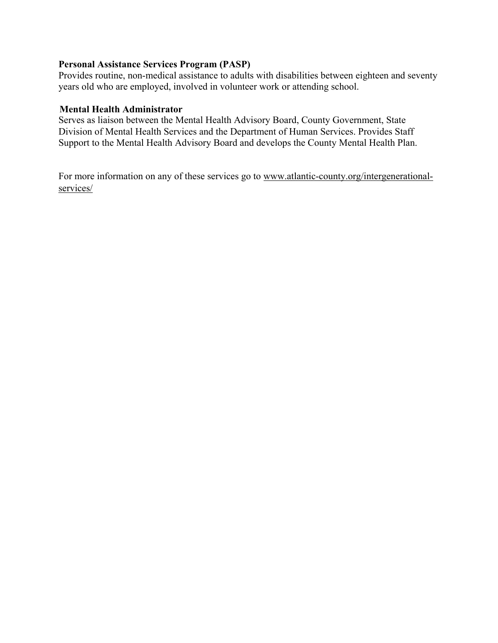#### **Personal Assistance Services Program (PASP)**

Provides routine, non-medical assistance to adults with disabilities between eighteen and seventy years old who are employed, involved in volunteer work or attending school.

#### **Mental Health Administrator**

Serves as liaison between the Mental Health Advisory Board, County Government, State Division of Mental Health Services and the Department of Human Services. Provides Staff Support to the Mental Health Advisory Board and develops the County Mental Health Plan.

For more information on any of these services go to [www.atlantic-county.org/intergenerational](http://www.atlantic-county.org/intergenerational-services/)[services/](http://www.atlantic-county.org/intergenerational-services/)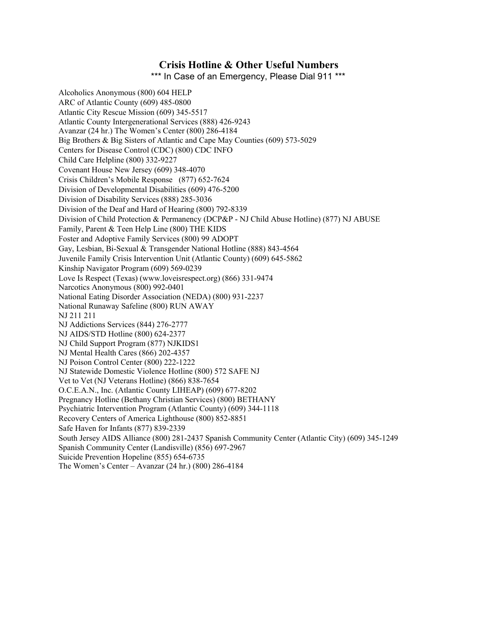#### **Crisis Hotline & Other Useful Numbers**

\*\*\* In Case of an Emergency, Please Dial 911 \*\*\*

<span id="page-4-0"></span>Alcoholics Anonymous (800) 604 HELP ARC of Atlantic County (609) 485-0800 Atlantic City Rescue Mission (609) 345-5517 Atlantic County Intergenerational Services (888) 426-9243 Avanzar (24 hr.) The Women's Center (800) 286-4184 Big Brothers & Big Sisters of Atlantic and Cape May Counties (609) 573-5029 Centers for Disease Control (CDC) (800) CDC INFO Child Care Helpline (800) 332-9227 Covenant House New Jersey (609) 348-4070 Crisis Children's Mobile Response (877) 652-7624 Division of Developmental Disabilities (609) 476-5200 Division of Disability Services (888) 285-3036 Division of the Deaf and Hard of Hearing (800) 792-8339 Division of Child Protection & Permanency (DCP&P - NJ Child Abuse Hotline) (877) NJ ABUSE Family, Parent & Teen Help Line (800) THE KIDS Foster and Adoptive Family Services (800) 99 ADOPT Gay, Lesbian, Bi-Sexual & Transgender National Hotline (888) 843-4564 Juvenile Family Crisis Intervention Unit (Atlantic County) (609) 645-5862 Kinship Navigator Program (609) 569-0239 Love Is Respect (Texas) (www.loveisrespect.org) (866) 331-9474 Narcotics Anonymous (800) 992-0401 National Eating Disorder Association (NEDA) (800) 931-2237 National Runaway Safeline (800) RUN AWAY NJ 211 211 NJ Addictions Services (844) 276-2777 NJ AIDS/STD Hotline (800) 624-2377 NJ Child Support Program (877) NJKIDS1 NJ Mental Health Cares (866) 202-4357 NJ Poison Control Center (800) 222-1222 NJ Statewide Domestic Violence Hotline (800) 572 SAFE NJ Vet to Vet (NJ Veterans Hotline) (866) 838-7654 O.C.E.A.N., Inc. (Atlantic County LIHEAP) (609) 677-8202 Pregnancy Hotline (Bethany Christian Services) (800) BETHANY Psychiatric Intervention Program (Atlantic County) (609) 344-1118 Recovery Centers of America Lighthouse (800) 852-8851 Safe Haven for Infants (877) 839-2339 South Jersey AIDS Alliance (800) 281-2437 Spanish Community Center (Atlantic City) (609) 345-1249 Spanish Community Center (Landisville) (856) 697-2967 Suicide Prevention Hopeline (855) 654-6735 The Women's Center – Avanzar (24 hr.) (800) 286-4184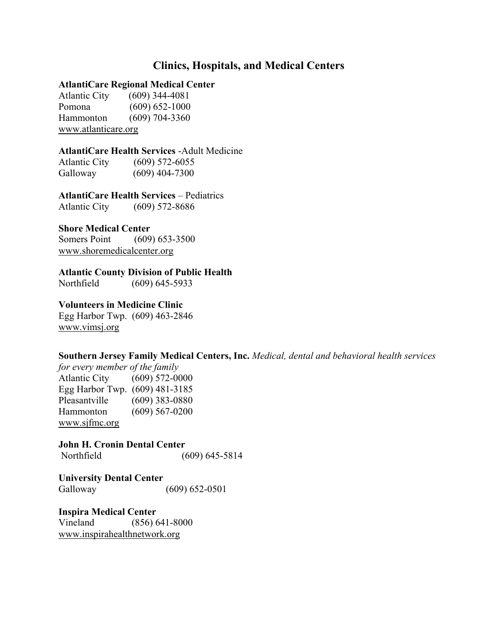#### **Clinics, Hospitals, and Medical Centers**

#### <span id="page-5-0"></span>**AtlantiCare Regional Medical Center**

Atlantic City (609) 344-4081 Pomona (609) 652-1000 Hammonton (609) 704-3360 [www.atlanticare.org](http://www.atlanticare.org/)

#### **AtlantiCare Health Services** -Adult Medicine

Atlantic City (609) 572-6055 Galloway (609) 404-7300

#### **AtlantiCare Health Services** – Pediatrics

Atlantic City (609) 572-8686

#### **Shore Medical Center**

Somers Point (609) 653-3500 [www.shoremedicalcenter.org](http://www.shoremedicalcenter.org/)

#### **Atlantic County Division of Public Health**

Northfield (609) 645-5933

#### **Volunteers in Medicine Clinic**

Egg Harbor Twp. (609) 463-2846 [www.vimsj.org](http://www.vimsj.org/)

#### **Southern Jersey Family Medical Centers, Inc.** *Medical, dental and behavioral health services*

*for every member of the family* Atlantic City (609) 572-0000 Egg Harbor Twp. (609) 481-3185 Pleasantville (609) 383-0880 Hammonton (609) 567-0200 [www.sjfmc.org](http://www.sjfmc.org/)

**John H. Cronin Dental Center** Northfield (609) 645-5814

**University Dental Center** Galloway (609) 652-0501

**Inspira Medical Center** Vineland (856) 641-8000 [www.inspirahealthnetwork.org](http://www.inspirahealthnetwork.org/)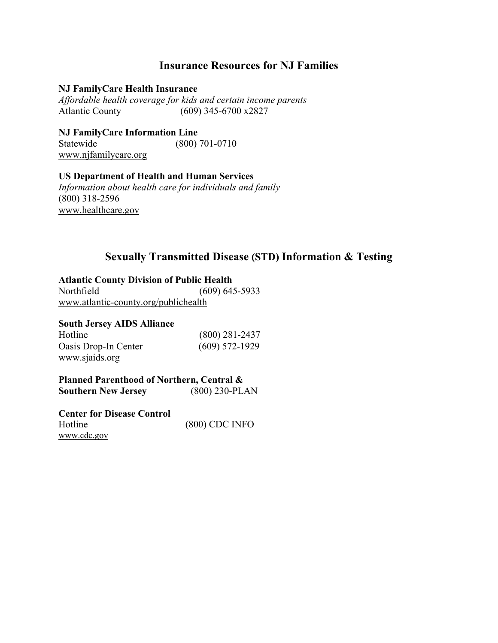#### **Insurance Resources for NJ Families**

#### <span id="page-6-0"></span>**NJ FamilyCare Health Insurance**

*Affordable health coverage for kids and certain income parents* Atlantic County (609) 345-6700 x2827

**NJ FamilyCare Information Line** Statewide (800) 701-0710 [www.njfamilycare.org](http://www.njfamilycare.org/)

#### **US Department of Health and Human Services**

*Information about health care for individuals and family* (800) 318-2596 [www.healthcare.gov](http://www.healthcare.gov/)

#### **Sexually Transmitted Disease (STD) Information & Testing**

#### <span id="page-6-1"></span>**Atlantic County Division of Public Health**

Northfield (609) 645-5933 [www.atlantic-county.org/publichealth](http://www.atlantic-county.org/publichealth)

#### **South Jersey AIDS Alliance**

| Hotline              | $(800)$ 281-2437 |
|----------------------|------------------|
| Oasis Drop-In Center | $(609)$ 572-1929 |
| www.sjaids.org       |                  |

**Planned Parenthood of Northern, Central & Southern New Jersey** (800) 230-PLAN

**Center for Disease Control** Hotline (800) CDC INFO [www.cdc.gov](https://www.cdc.gov/)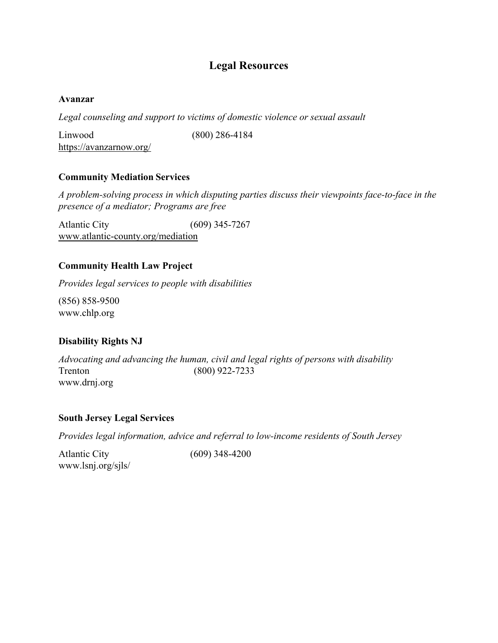#### **Legal Resources**

#### <span id="page-7-0"></span>**Avanzar**

*Legal counseling and support to victims of domestic violence or sexual assault*

Linwood (800) 286-4184 <https://avanzarnow.org/>

#### **Community Mediation Services**

*A problem-solving process in which disputing parties discuss their viewpoints face-to-face in the presence of a mediator; Programs are free*

Atlantic City (609) 345-7267 [www.atlantic-county.org/mediation](http://www.atlantic-county.org/mediation)

#### **Community Health Law Project**

*Provides legal services to people with disabilities*

(856) 858-9500 [www.chlp.org](http://www.chlp.org/)

#### **Disability Rights NJ**

*Advocating and advancing the human, civil and legal rights of persons with disability* Trenton (800) 922-7233 [www.drnj.org](http://www.drnj.org/)

#### **South Jersey Legal Services**

*Provides legal information, advice and referral to low-income residents of South Jersey*

Atlantic City (609) 348-4200 [www.lsnj.org/sjls/](http://www.lsnj.org/sjls/)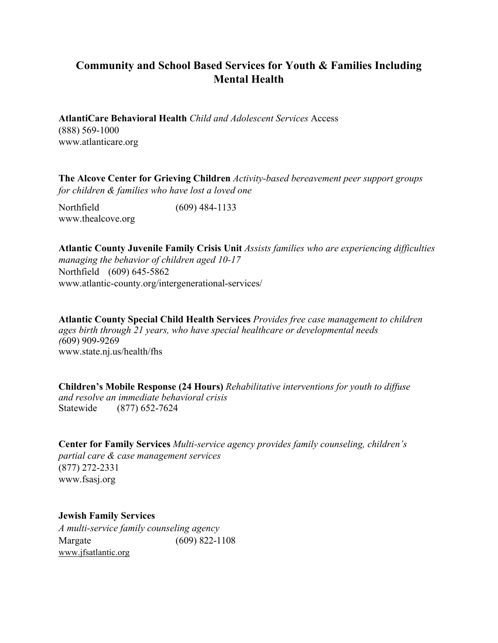### <span id="page-8-0"></span>**Community and School Based Services for Youth & Families Including Mental Health**

**AtlantiCare Behavioral Health** *Child and Adolescent Services* Access (888) 569-1000 [www.atlanticare.org](http://www.atlanticare.org/)

**The Alcove Center for Grieving Children** *Activity-based bereavement peer support groups for children & families who have lost a loved one*

Northfield (609) 484-1133 [www.thealcove.org](http://www.thealcove.org/)

**Atlantic County Juvenile Family Crisis Unit** *Assists families who are experiencing difficulties managing the behavior of children aged 10-17* Northfield (609) 645-5862 [www.atlantic-county.org/intergenerational-services/](http://www.atlantic-county.org/intergenerational-services/)

**Atlantic County Special Child Health Services** *Provides free case management to children ages birth through 21 years, who have special healthcare or developmental needs (*609) 909-9269 [www.state.nj.us/health/fhs](http://www.state.nj.us/health/fhs)

**Children's Mobile Response (24 Hours)** *Rehabilitative interventions for youth to diffuse and resolve an immediate behavioral crisis* Statewide (877) 652-7624

**Center for Family Services** *Multi-service agency provides family counseling, children's partial care & case management services* (877) 272-2331 [www.fsasj.org](http://www.fsasj.org/)

**Jewish Family Services** *A multi-service family counseling agency*  Margate (609) 822-110[8](http://www.jfsatlantic.org/) [www.jfsatlantic.org](http://www.jfsatlantic.org/)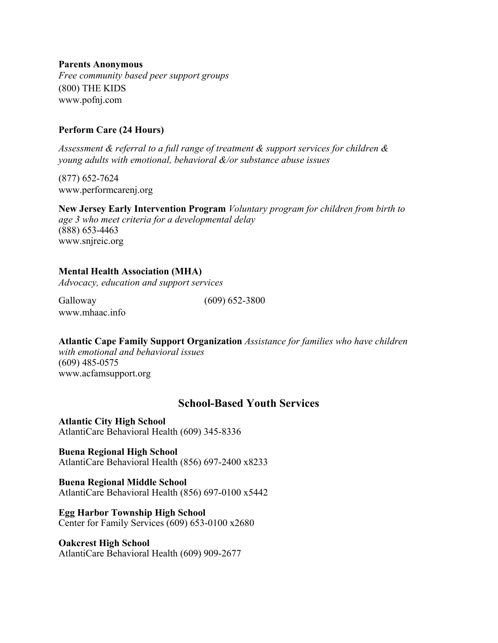**Parents Anonymous** *Free community based peer support groups* (800) THE KIDS [www.pofnj.com](http://www.pofnj.com/)

#### **Perform Care (24 Hours)**

*Assessment & referral to a full range of treatment & support services for children & young adults with emotional, behavioral &/or substance abuse issues* 

(877) 652-7624 [www.performcarenj.org](http://www.performcarenj.org/)

**New Jersey Early Intervention Program** *Voluntary program for children from birth to age 3 who meet criteria for a developmental delay*  (888) 653-4463 [www.snjreic.org](http://www.snjreic.org/)

#### **Mental Health Association (MHA)**

*Advocacy, education and support services*

Galloway (609) 652-3800 [www.mhaac.info](http://www.mhaac.info/)

**Atlantic Cape Family Support Organization** *Assistance for families who have children* 

*with emotional and behavioral issues*  (609) 485-0575 [www.acfamsupport.org](http://www.acfamsupport.org/)

#### **School-Based Youth Services**

<span id="page-9-0"></span>**Atlantic City High School** AtlantiCare Behavioral Health (609) 345-8336

**Buena Regional High School** AtlantiCare Behavioral Health (856) 697-2400 x8233

**Buena Regional Middle School** AtlantiCare Behavioral Health (856) 697-0100 x5442

**Egg Harbor Township High School** Center for Family Services (609) 653-0100 x2680

#### **Oakcrest High School**

AtlantiCare Behavioral Health (609) 909-2677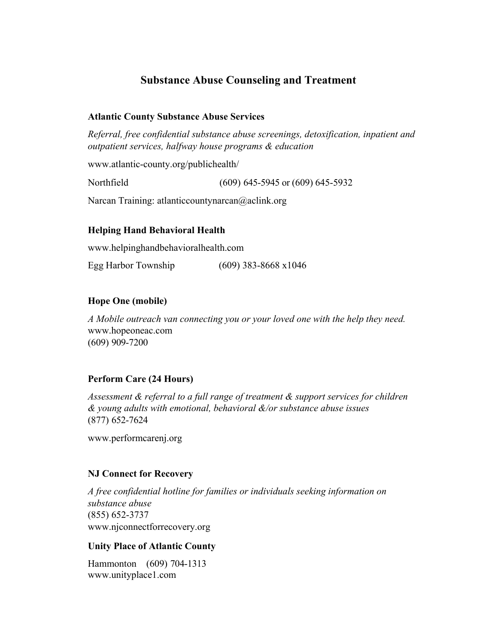#### **Substance Abuse Counseling and Treatment**

#### <span id="page-10-0"></span>**Atlantic County Substance Abuse Services**

*Referral, free confidential substance abuse screenings, detoxification, inpatient and outpatient services, halfway house programs & education*

[www.atlantic-county.org/publichealth/](http://www.atlantic-county.org/publichealth/)

Northfield (609) 645-5945 or (609) 645-5932

Narcan Training: [atlanticcountynarcan@aclink.org](mailto:atlanticcountynarcan@aclink.org)

#### **Helping Hand Behavioral Health**

[www.helpinghandbehavioralhealth.com](http://www.helpinghandbehavioralhealth.com/)

Egg Harbor Township (609) 383-8668 x1046

#### **Hope One (mobile)**

*A Mobile outreach van connecting you or your loved one with the help they need.*  [www.hopeoneac.com](http://www.hopeoneac.com/) (609) 909-7200

#### **Perform Care (24 Hours)**

*Assessment & referral to a full range of treatment & support services for children & young adults with emotional, behavioral &/or substance abuse issues*  (877) 652-7624

[www.performcarenj.org](http://www.performcarenj.org/)

#### **NJ Connect for Recovery**

*A free confidential hotline for families or individuals seeking information on substance abuse*  (855) 652-3737 [www.njconnectforrecovery.org](http://www.njconnectforrecovery.org/)

#### **Unity Place of Atlantic County**

Hammonton (609) 704-1313 [www.unityplace1.com](http://www.unityplace1.com/)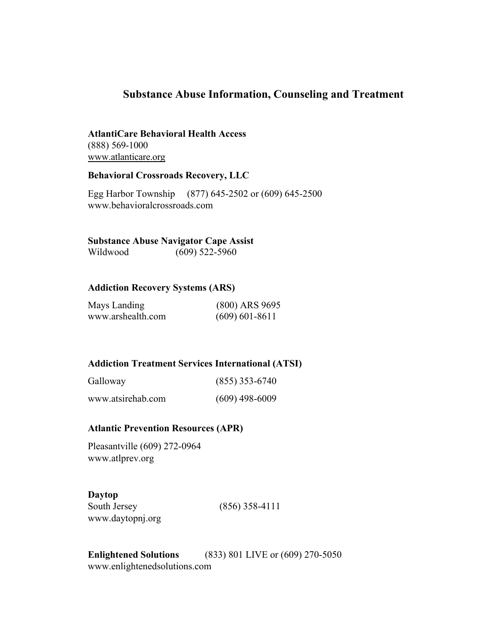#### **Substance Abuse Information, Counseling and Treatment**

#### **AtlantiCare Behavioral Health Acces[s](http://www.atlanticare.org/)** (888) 569-1000

[www.atlanticare.org](http://www.atlanticare.org/)

#### **Behavioral Crossroads Recovery, LLC**

Egg Harbor Township (877) 645-2502 or (609) 645-2500 www.behavioralcrossroads.com

#### **Substance Abuse Navigator Cape Assist**

Wildwood (609) 522-5960

#### **Addiction Recovery Systems (ARS)**

| Mays Landing      | $(800)$ ARS 9695   |
|-------------------|--------------------|
| www.arshealth.com | $(609) 601 - 8611$ |

#### **Addiction Treatment Services International (ATSI)**

| Galloway          | $(855)$ 353-6740 |
|-------------------|------------------|
| www.atsirehab.com | $(609)$ 498-6009 |

#### **Atlantic Prevention Resources (APR)**

Pleasantville (609) 272-0964 [www.atlprev.org](http://www.atlprev.org/)

## **Daytop**

[www.daytopnj.org](http://www.daytopnj.org/)

South Jersey (856) 358-4111

**Enlightened Solutions** (833) 801 LIVE or (609) 270-5050 [www.enlightenedsolutions.com](http://www.enlightenedsolutions.com/)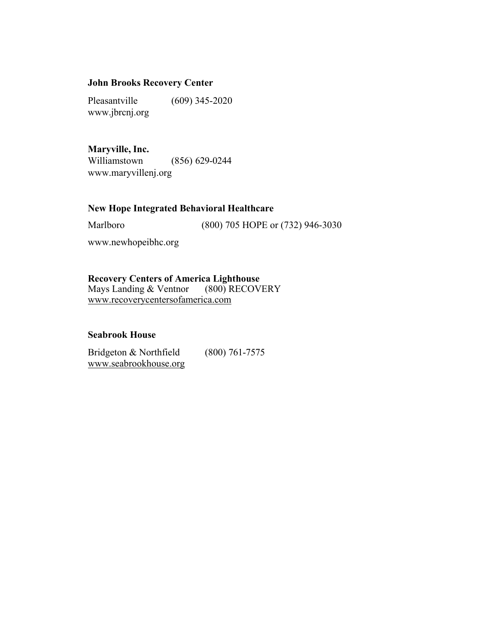#### **John Brooks Recovery Center**

Pleasantville (609) 345-2020 [www.jbrcnj.org](http://www.jbrcnj.org/)

#### **Maryville, Inc.**

Williamstown (856) 629-0244 [www.maryvillenj.org](http://www.maryvillenj.org/)

#### **New Hope Integrated Behavioral Healthcare**

Marlboro (800) 705 HOPE or (732) 946-3030

[www.newhopeibhc.org](http://www.newhopeibhc.org/)

**Recovery Centers of America Lighthouse**<br>Mays Landing & Ventnor (800) RECOVERY Mays Landing & Ventnor www.recoverycentersofamerica.com

#### **Seabrook House**

Bridgeton & Northfield (800) 761-7575 www.seabrookhouse.org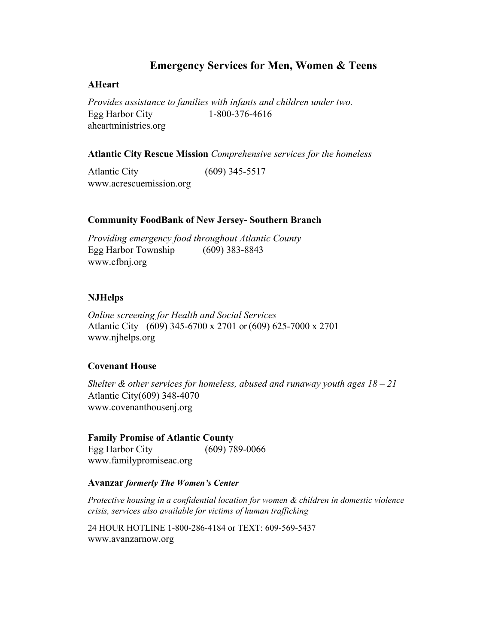#### **Emergency Services for Men, Women & Teens**

#### <span id="page-13-0"></span>**AHeart**

*Provides assistance to families with infants and children under two.* Egg Harbor City 1-800-376-4616 aheartministries.org

#### **Atlantic City Rescue Mission** *Comprehensive services for the homeless*

Atlantic City (609) 345-5517 [www.acrescuemission.org](http://www.acrescuemission.org/)

#### **Community FoodBank of New Jersey- Southern Branch**

*Providing emergency food throughout Atlantic County* Egg Harbor Township (609) 383-8843 [www.cfbnj.org](http://www.cfbnj.org/)

#### **NJHelps**

*Online screening for Health and Social Services* Atlantic City (609) 345-6700 x 2701 or (609) 625-7000 x 2701 [www.njhelps.org](http://www.njhelps.org/)

#### **Covenant House**

*Shelter & other services for homeless, abused and runaway youth ages 18 – 21*  Atlantic City(609) 348-4070 [www.covenanthousenj.org](http://www.covenanthousenj.org/)

#### **Family Promise of Atlantic County**

Egg Harbor City (609) 789-0066 [www.familypromiseac.org](http://www.familypromiseac.org/)

#### **Avanzar** *formerly The Women's Center*

*Protective housing in a confidential location for women & children in domestic violence crisis, services also available for victims of human trafficking*

24 HOUR HOTLINE 1-800-286-4184 or TEXT: 609-569-5437 [www.avanzarnow.org](http://www.avanzarnow.org/)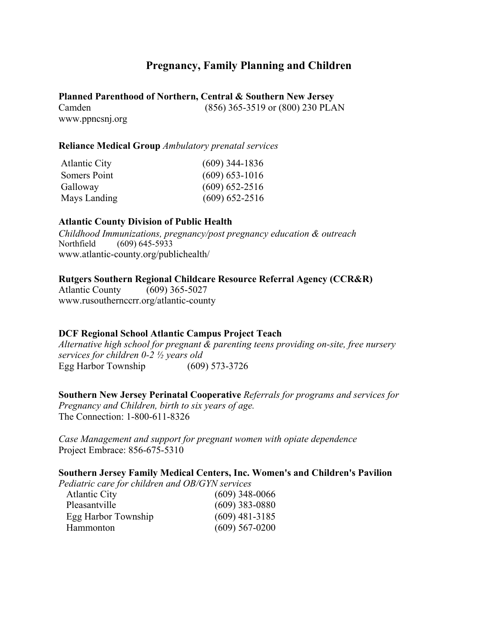#### **Pregnancy, Family Planning and Children**

<span id="page-14-0"></span>**Planned Parenthood of Northern, Central & Southern New Jersey** Camden (856) 365-3519 or (800) 230 PLAN [www.ppncsnj.org](http://www.ppncsnj.org/)

#### **Reliance Medical Group** *Ambulatory prenatal services*

| <b>Atlantic City</b> | $(609)$ 344-1836   |
|----------------------|--------------------|
| Somers Point         | $(609) 653 - 1016$ |
| Galloway             | $(609) 652 - 2516$ |
| Mays Landing         | $(609)$ 652-2516   |

#### **Atlantic County Division of Public Health**

*Childhood Immunizations, pregnancy/post pregnancy education & outreach* Northfield (609) 645-5933 [www.atlantic-county.org/publichealth/](http://www.atlantic-county.org/publichealth/)

#### **Rutgers Southern Regional Childcare Resource Referral Agency (CCR&R)**

Atlantic County (609) 365-5027 [www.rusouthernccrr.org/atlantic-county](http://www.rusouthernccrr.org/atlantic-county)

#### **DCF Regional School Atlantic Campus Project Teach**

*Alternative high school for pregnant & parenting teens providing on-site, free nursery services for children 0-2 ½ years old* Egg Harbor Township (609) 573-3726

**Southern New Jersey Perinatal Cooperative** *Referrals for programs and services for Pregnancy and Children, birth to six years of age.* The Connection: 1-800-611-8326

*Case Management and support for pregnant women with opiate dependence* Project Embrace: 856-675-5310

#### **Southern Jersey Family Medical Centers, Inc. Women's and Children's Pavilion**

*Pediatric care for children and OB/GYN services*

| <b>Atlantic City</b> | $(609)$ 348-0066 |
|----------------------|------------------|
| Pleasantville        | $(609)$ 383-0880 |
| Egg Harbor Township  | $(609)$ 481-3185 |
| <b>Hammonton</b>     | $(609)$ 567-0200 |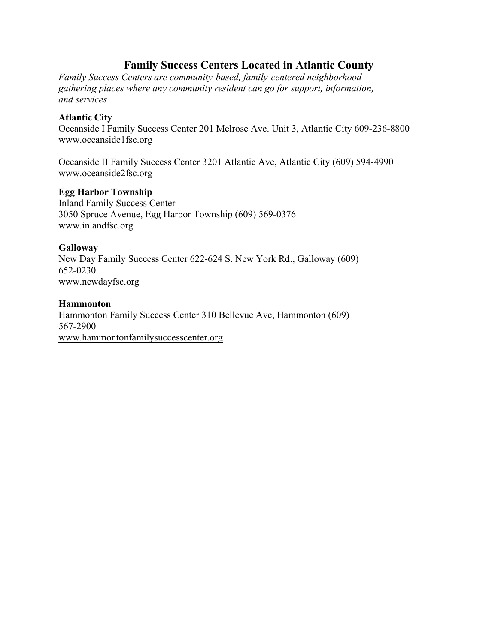#### **Family Success Centers Located in Atlantic County**

<span id="page-15-0"></span>*Family Success Centers are community-based, family-centered neighborhood gathering places where any community resident can go for support, information, and services*

#### **Atlantic City**

Oceanside I Family Success Center 201 Melrose Ave. Unit 3, Atlantic City 609-236-8800 [www.oceanside1fsc.org](http://www.oceanside1fsc.org/)

Oceanside II Family Success Center 3201 Atlantic Ave, Atlantic City (609) 594-4990 [www.oceanside2fsc.org](http://www.oceanside2fsc.org/)

#### **Egg Harbor Township**

Inland Family Success Center 3050 Spruce Avenue, Egg Harbor Township (609) 569-0376 [www.inlandfsc.org](http://www.inlandfsc.org/)

#### **Galloway**

New Day Family Success Center 622-624 S. New York Rd., Galloway (609) 652-0230 [www.newdayfsc.org](http://www.newdayfsc.org/)

#### **Hammonton**

Hammonton Family Success Center 310 Bellevue Ave, Hammonton (609) 567-2900 [www.hammontonfamilysuccesscenter.org](http://www.hammontonfamilysuccesscenter.org/)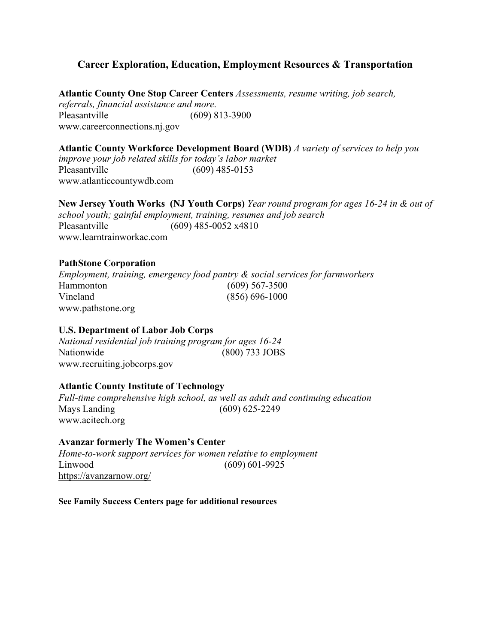#### <span id="page-16-0"></span>**Career Exploration, Education, Employment Resources & Transportation**

**Atlantic County One Stop Career Centers** *Assessments, resume writing, job search, referrals, financial assistance and more.* Pleasantville (609) 813-3900 [www.careerconnections.nj.gov](http://www.careerconnections.nj.gov/)

**Atlantic County Workforce Development Board (WDB)** *A variety of services to help you improve your job related skills for today's labor market* Pleasantville (609) 485-0153 [www.atlanticcountywdb.com](http://www.atlanticcountywdb.com/)

**New Jersey Youth Works (NJ Youth Corps)** *Year round program for ages 16-24 in & out of school youth; gainful employment, training, resumes and job search* Pleasantville (609) 485-0052 x4810 [www.learntrainworkac.com](http://www.learntrainworkac.com/)

#### **PathStone Corporation**

*Employment, training, emergency food pantry & social services for farmworkers* Hammonton (609) 567-3500 Vineland (856) 696-1000 [www.pathstone.org](http://www.pathstone.org/)

#### **U.S. Department of Labor Job Corps**

*National residential job training program for ages 16-24* (800) 733 JOBS [www.recruiting.jobcorps.gov](http://www.recruiting.jobcorps.gov/)

#### **Atlantic County Institute of Technology**

*Full-time comprehensive high school, as well as adult and continuing education* Mays Landing (609) 625-2249 [www.acitech.org](http://www.acitech.org/)

#### **Avanzar formerly The Women's Center**

*Home-to-work support services for women relative to employment* Linwood (609) 601-9925 <https://avanzarnow.org/>

**See Family Success Centers page for additional resources**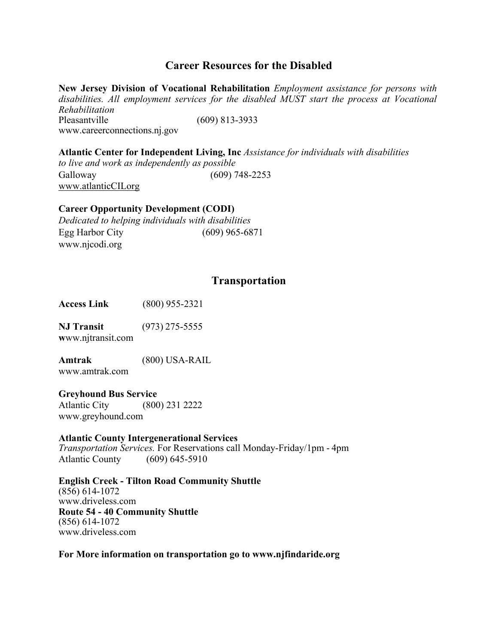#### **Career Resources for the Disabled**

**New Jersey Division of Vocational Rehabilitation** *Employment assistance for persons with disabilities. All employment services for the disabled MUST start the process at Vocational Rehabilitation* Pleasantville (609) 813-3933 [www.careerconnections.nj.gov](http://www.careerconnections.nj.gov/)

**Atlantic Center for Independent Living, Inc** *Assistance for individuals with disabilities to live and work as independently as possible* Galloway (609) 748-2253 [www.atlanticCILorg](http://www.atlanticcilorg/)

#### **Career Opportunity Development (CODI)**

*Dedicated to helping individuals with disabilities* Egg Harbor City (609) 965-6871 [www.njcodi.org](http://www.njcodi.org/)

#### **Transportation**

**Access Link** (800) 955-2321

**NJ Transit** (973) 275-5555 **w**[ww.njtransit.com](http://www.njtransit.com/)

**Amtrak** (800) USA-RAIL [www.amtrak.com](http://www.amtrak.com/)

**Greyhound Bus Service** Atlantic City (800) 231 2222 [www.greyhound.com](http://www.greyhound.com/)

#### **Atlantic County Intergenerational Services**

*Transportation Services.* For Reservations call Monday-Friday/1pm - 4pm Atlantic County (609) 645-5910

**English Creek - Tilton Road Community Shuttle** (856) 614-1072 [www.driveless.com](http://www.driveless.com/) **Route 54 - 40 Community Shuttle** (856) 614-1072 [www.driveless.com](http://www.driveless.com/)

#### **For More information on transportation go to [www.njfindaride.org](http://www.njfindaride.org/)**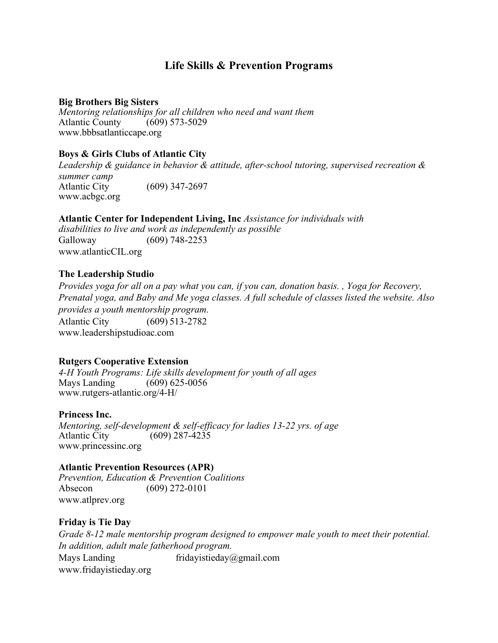#### **Life Skills & Prevention Programs**

#### <span id="page-18-0"></span>**Big Brothers Big Sisters**

*Mentoring relationships for all children who need and want them* Atlantic County (609) 573-5029 [www.bbbsatlanticcape.org](http://www.bbbsatlanticcape.org/)

#### **Boys & Girls Clubs of Atlantic City**

*Leadership & guidance in behavior & attitude, after-school tutoring, supervised recreation & summer camp* Atlantic City (609) 347-2697 [www.acbgc.org](http://www.acbgc.org/)

#### **Atlantic Center for Independent Living, Inc** *Assistance for individuals with*

*disabilities to live and work as independently as possible* Galloway (609) 748-2253 [www.atlanticCIL.org](http://www.atlanticcil.org/)

#### **The Leadership Studio**

*Provides yoga for all on a pay what you can, if you can, donation basis. , Yoga for Recovery, Prenatal yoga, and Baby and Me yoga classes. A full schedule of classes listed the website. Also provides a youth mentorship program.* Atlantic City (609) 513-2782 [www.leadershipstudioac.com](http://www.leadershipstudioac.com/)

#### **Rutgers Cooperative Extension**

*4-H Youth Programs: Life skills development for youth of all ages* Mays Landing (609) 625-0056 [www.rutgers-atlantic.org/4-H/](http://www.rutgers-atlantic.org/4-H/)

#### **Princess Inc.**

*Mentoring, self-development & self-efficacy for ladies 13-22 yrs. of age* Atlantic City (609) 287-4235 [www.princessinc.org](http://www.princessinc.org/)

#### **Atlantic Prevention Resources (APR)**

*Prevention, Education & Prevention Coalitions* Absecon (609) 272-0101 [www.atlprev.org](http://www.atlprev.org/)

#### **Friday is Tie Day**

*Grade 8-12 male mentorship program designed to empower male youth to meet their potential. In addition, adult male fatherhood program.* Mays Landing [fridayistieday@gmail.com](mailto:fridayistieday@gmail.com) [www.fridayistieday.org](http://www.fridayistieday.org/)